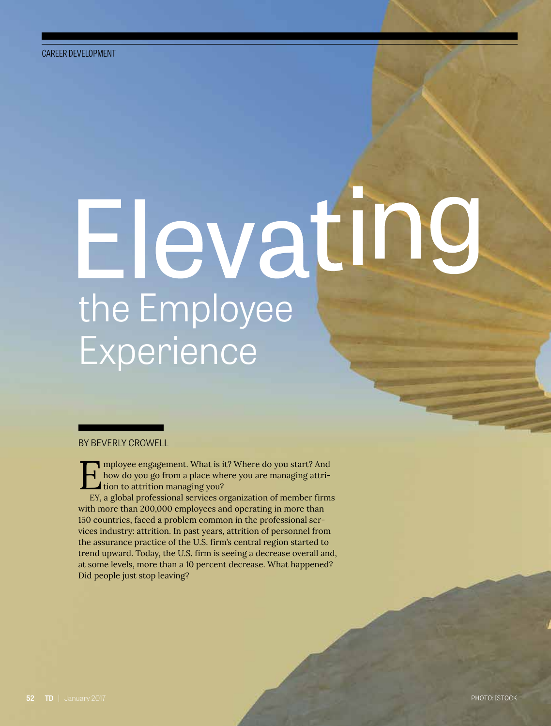# the Employee Experience

BY BEVERLY CROWELL

Imployee engagement. What is it? Where do you start? And<br>how do you go from a place where you are managing attri-<br>tion to attrition managing you?<br>EV a global professional services organization of member firm how do you go from a place where you are managing attri**tion to attrition managing you?** 

EY, a global professional services organization of member firms with more than 200,000 employees and operating in more than 150 countries, faced a problem common in the professional services industry: attrition. In past years, attrition of personnel from the assurance practice of the U.S. firm's central region started to trend upward. Today, the U.S. firm is seeing a decrease overall and, at some levels, more than a 10 percent decrease. What happened? Did people just stop leaving?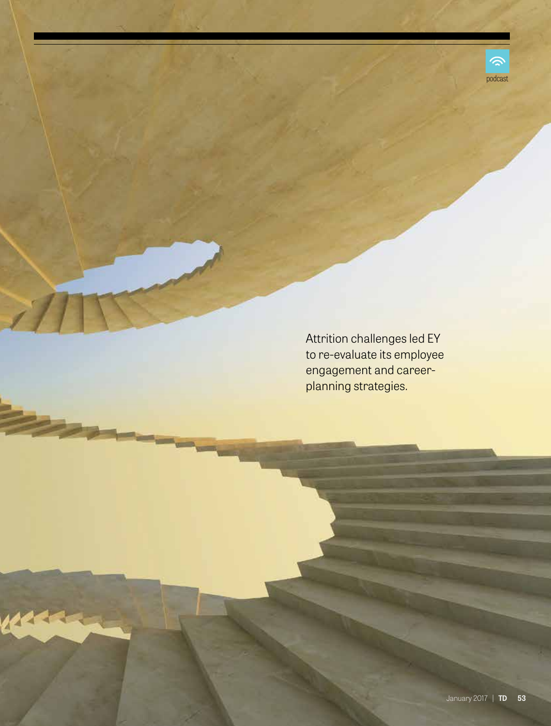

Attrition challenges led EY to re-evaluate its employee engagement and careerplanning strategies.

 $\mathcal{A}$ 

Kla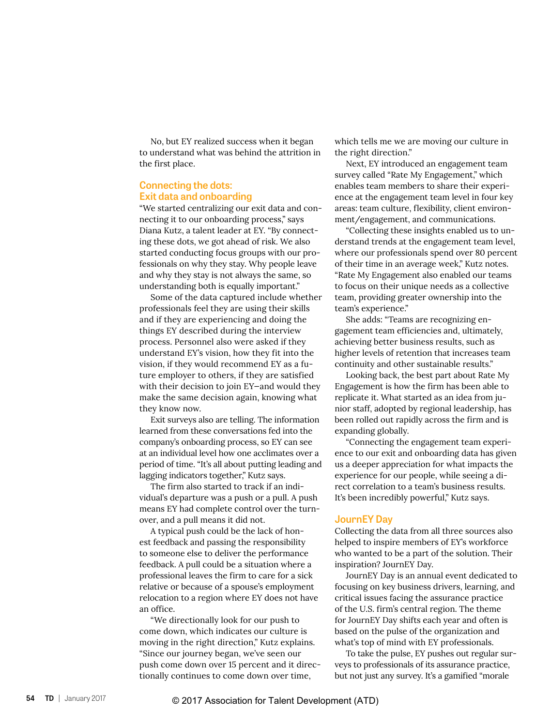No, but EY realized success when it began to understand what was behind the attrition in the first place.

#### **Connecting the dots: Exit data and onboarding**

"We started centralizing our exit data and connecting it to our onboarding process," says Diana Kutz, a talent leader at EY. "By connecting these dots, we got ahead of risk. We also started conducting focus groups with our professionals on why they stay. Why people leave and why they stay is not always the same, so understanding both is equally important."

Some of the data captured include whether professionals feel they are using their skills and if they are experiencing and doing the things EY described during the interview process. Personnel also were asked if they understand EY's vision, how they fit into the vision, if they would recommend EY as a future employer to others, if they are satisfied with their decision to join EY—and would they make the same decision again, knowing what they know now.

Exit surveys also are telling. The information learned from these conversations fed into the company's onboarding process, so EY can see at an individual level how one acclimates over a period of time. "It's all about putting leading and lagging indicators together," Kutz says.

The firm also started to track if an individual's departure was a push or a pull. A push means EY had complete control over the turnover, and a pull means it did not.

A typical push could be the lack of honest feedback and passing the responsibility to someone else to deliver the performance feedback. A pull could be a situation where a professional leaves the firm to care for a sick relative or because of a spouse's employment relocation to a region where EY does not have an office.

"We directionally look for our push to come down, which indicates our culture is moving in the right direction," Kutz explains. "Since our journey began, we've seen our push come down over 15 percent and it directionally continues to come down over time,

which tells me we are moving our culture in the right direction."

Next, EY introduced an engagement team survey called "Rate My Engagement," which enables team members to share their experience at the engagement team level in four key areas: team culture, flexibility, client environment/engagement, and communications.

"Collecting these insights enabled us to understand trends at the engagement team level, where our professionals spend over 80 percent of their time in an average week," Kutz notes. "Rate My Engagement also enabled our teams to focus on their unique needs as a collective team, providing greater ownership into the team's experience."

She adds: "Teams are recognizing engagement team efficiencies and, ultimately, achieving better business results, such as higher levels of retention that increases team continuity and other sustainable results."

Looking back, the best part about Rate My Engagement is how the firm has been able to replicate it. What started as an idea from junior staff, adopted by regional leadership, has been rolled out rapidly across the firm and is expanding globally.

"Connecting the engagement team experience to our exit and onboarding data has given us a deeper appreciation for what impacts the experience for our people, while seeing a direct correlation to a team's business results. It's been incredibly powerful," Kutz says.

#### **JournEY Day**

Collecting the data from all three sources also helped to inspire members of EY's workforce who wanted to be a part of the solution. Their inspiration? JournEY Day.

JournEY Day is an annual event dedicated to focusing on key business drivers, learning, and critical issues facing the assurance practice of the U.S. firm's central region. The theme for JournEY Day shifts each year and often is based on the pulse of the organization and what's top of mind with EY professionals.

To take the pulse, EY pushes out regular surveys to professionals of its assurance practice, but not just any survey. It's a gamified "morale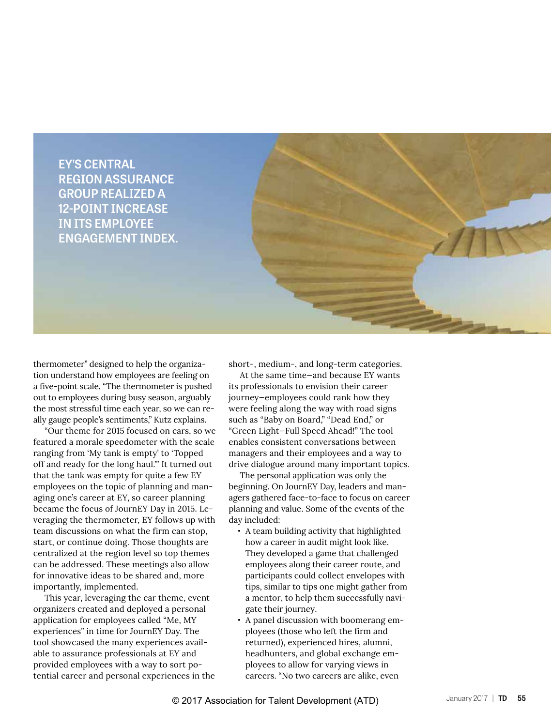

thermometer" designed to help the organization understand how employees are feeling on a five-point scale. "The thermometer is pushed out to employees during busy season, arguably the most stressful time each year, so we can really gauge people's sentiments," Kutz explains.

"Our theme for 2015 focused on cars, so we featured a morale speedometer with the scale ranging from 'My tank is empty' to 'Topped off and ready for the long haul.'" It turned out that the tank was empty for quite a few EY employees on the topic of planning and managing one's career at EY, so career planning became the focus of JournEY Day in 2015. Leveraging the thermometer, EY follows up with team discussions on what the firm can stop, start, or continue doing. Those thoughts are centralized at the region level so top themes can be addressed. These meetings also allow for innovative ideas to be shared and, more importantly, implemented.

This year, leveraging the car theme, event organizers created and deployed a personal application for employees called "Me, MY experiences" in time for JournEY Day. The tool showcased the many experiences available to assurance professionals at EY and provided employees with a way to sort potential career and personal experiences in the short-, medium-, and long-term categories.

At the same time—and because EY wants its professionals to envision their career journey—employees could rank how they were feeling along the way with road signs such as "Baby on Board," "Dead End," or "Green Light—Full Speed Ahead!" The tool enables consistent conversations between managers and their employees and a way to drive dialogue around many important topics.

The personal application was only the beginning. On JournEY Day, leaders and managers gathered face-to-face to focus on career planning and value. Some of the events of the day included:

- **•** A team building activity that highlighted how a career in audit might look like. They developed a game that challenged employees along their career route, and participants could collect envelopes with tips, similar to tips one might gather from a mentor, to help them successfully navigate their journey.
- **•** A panel discussion with boomerang employees (those who left the firm and returned), experienced hires, alumni, headhunters, and global exchange employees to allow for varying views in careers. "No two careers are alike, even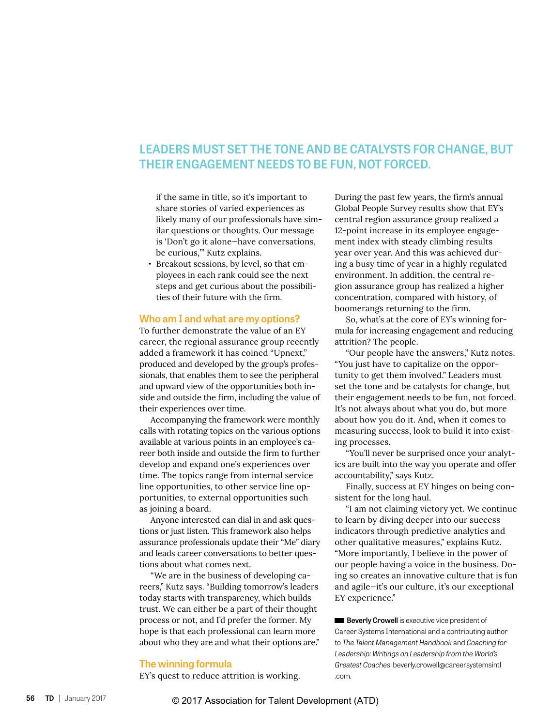### **LEADERS MUST SET THE TONE AND BE CATALYSTS FOR CHANGE, BUT THEIR ENGAGEMENT NEEDS TO BE FUN, NOT FORCED.**

if the same in title, so it's important to share stories of varied experiences as likely many of our professionals have similar questions or thoughts. Our message is 'Don't go it alone—have conversations, be curious,'" Kutz explains.

**•** Breakout sessions, by level, so that employees in each rank could see the next steps and get curious about the possibilities of their future with the firm.

#### **Who am I and what are my options?**

To further demonstrate the value of an EY career, the regional assurance group recently added a framework it has coined "Upnext," produced and developed by the group's professionals, that enables them to see the peripheral and upward view of the opportunities both inside and outside the firm, including the value of their experiences over time.

Accompanying the framework were monthly calls with rotating topics on the various options available at various points in an employee's career both inside and outside the firm to further develop and expand one's experiences over time. The topics range from internal service line opportunities, to other service line opportunities, to external opportunities such as joining a board.

Anyone interested can dial in and ask questions or just listen. This framework also helps assurance professionals update their "Me" diary and leads career conversations to better questions about what comes next.

"We are in the business of developing careers," Kutz says. "Building tomorrow's leaders today starts with transparency, which builds trust. We can either be a part of their thought process or not, and I'd prefer the former. My hope is that each professional can learn more about who they are and what their options are."

#### **The winning formula**

EY's quest to reduce attrition is working.

During the past few years, the firm's annual Global People Survey results show that EY's central region assurance group realized a 12-point increase in its employee engagement index with steady climbing results year over year. And this was achieved during a busy time of year in a highly regulated environment. In addition, the central region assurance group has realized a higher concentration, compared with history, of boomerangs returning to the firm.

So, what's at the core of EY's winning formula for increasing engagement and reducing attrition? The people.

"Our people have the answers," Kutz notes. "You just have to capitalize on the opportunity to get them involved." Leaders must set the tone and be catalysts for change, but their engagement needs to be fun, not forced. It's not always about what you do, but more about how you do it. And, when it comes to measuring success, look to build it into existing processes.

"You'll never be surprised once your analytics are built into the way you operate and offer accountability," says Kutz.

Finally, success at EY hinges on being consistent for the long haul.

"I am not claiming victory yet. We continue to learn by diving deeper into our success indicators through predictive analytics and other qualitative measures," explains Kutz. "More importantly, I believe in the power of our people having a voice in the business. Doing so creates an innovative culture that is fun and agile—it's our culture, it's our exceptional EY experience."

**Beverly Crowell** is executive vice president of Career Systems International and a contributing author to *The Talent Management Handbook* and *Coaching for Leadership: Writings on Leadership from the World's Greatest Coaches*; beverly.crowell@careersystemsintl .com.